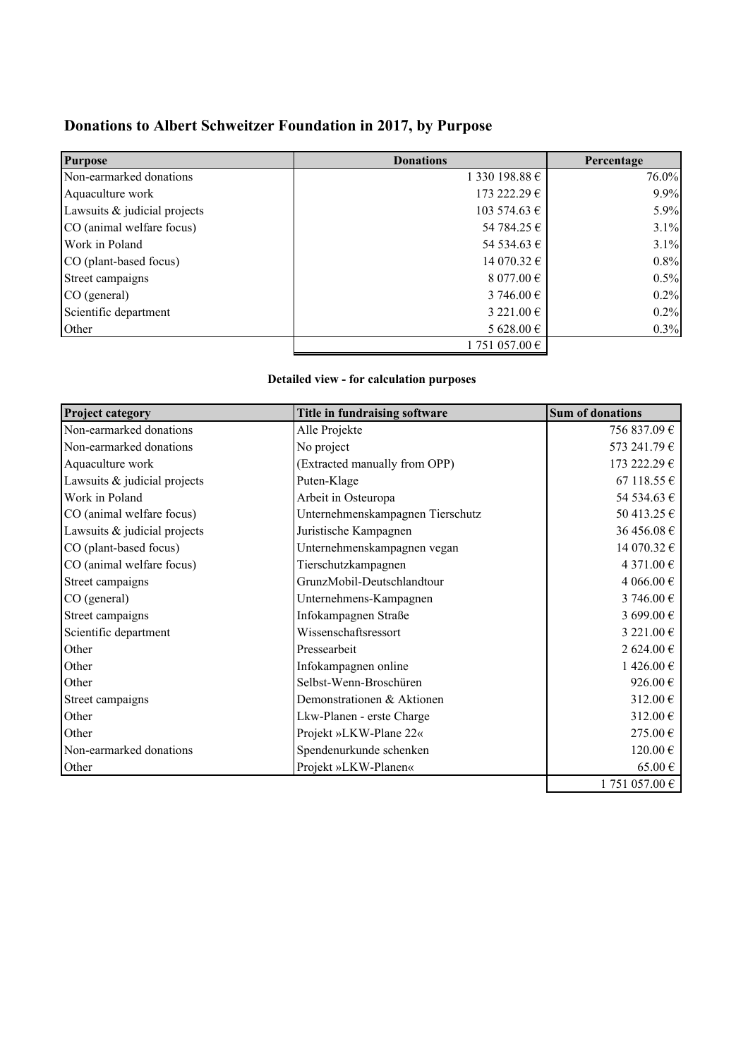## **Donations to Albert Schweitzer Foundation in 2017, by Purpose**

| <b>Purpose</b>               | <b>Donations</b>    | Percentage |
|------------------------------|---------------------|------------|
| Non-earmarked donations      | 1 330 198.88 €      | 76.0%      |
| Aquaculture work             | 173 222.29 €        | 9.9%       |
| Lawsuits & judicial projects | 103 574.63 €        | 5.9%       |
| CO (animal welfare focus)    | 54 784.25 €         | 3.1%       |
| Work in Poland               | 54 534.63 €         | 3.1%       |
| CO (plant-based focus)       | 14 070.32 €         | 0.8%       |
| Street campaigns             | 8 077.00 $\epsilon$ | 0.5%       |
| CO (general)                 | 3 746.00 $\in$      | 0.2%       |
| Scientific department        | 3 221.00 €          | 0.2%       |
| Other                        | 5 628.00 €          | 0.3%       |
|                              | 1751057.00€         |            |

### **Detailed view - for calculation purposes**

| <b>Project category</b>      | Title in fundraising software    | <b>Sum of donations</b> |
|------------------------------|----------------------------------|-------------------------|
| Non-earmarked donations      | Alle Projekte                    | 756 837.09 €            |
| Non-earmarked donations      | No project                       | 573 241.79 €            |
| Aquaculture work             | (Extracted manually from OPP)    | 173 222.29 €            |
| Lawsuits & judicial projects | Puten-Klage                      | 67 118.55 €             |
| Work in Poland               | Arbeit in Osteuropa              | 54 534.63 €             |
| CO (animal welfare focus)    | Unternehmenskampagnen Tierschutz | 50 413.25 €             |
| Lawsuits & judicial projects | Juristische Kampagnen            | 36 456.08 €             |
| CO (plant-based focus)       | Unternehmenskampagnen vegan      | 14 070.32 €             |
| CO (animal welfare focus)    | Tierschutzkampagnen              | 4 371.00 €              |
| Street campaigns             | GrunzMobil-Deutschlandtour       | 4 066.00 €              |
| CO (general)                 | Unternehmens-Kampagnen           | 3 746.00 €              |
| Street campaigns             | Infokampagnen Straße             | 3 699.00 €              |
| Scientific department        | Wissenschaftsressort             | 3 221.00 €              |
| Other                        | Pressearbeit                     | 2 624.00 €              |
| Other                        | Infokampagnen online             | 1426.00€                |
| Other                        | Selbst-Wenn-Broschüren           | 926.00 $\in$            |
| Street campaigns             | Demonstrationen & Aktionen       | 312.00 $\in$            |
| Other                        | Lkw-Planen - erste Charge        | 312.00€                 |
| Other                        | Projekt »LKW-Plane 22«           | 275.00€                 |
| Non-earmarked donations      | Spendenurkunde schenken          | 120.00€                 |
| Other                        | Projekt »LKW-Planen«             | $65.00 \in$             |
|                              |                                  | $1751057.00 \in$        |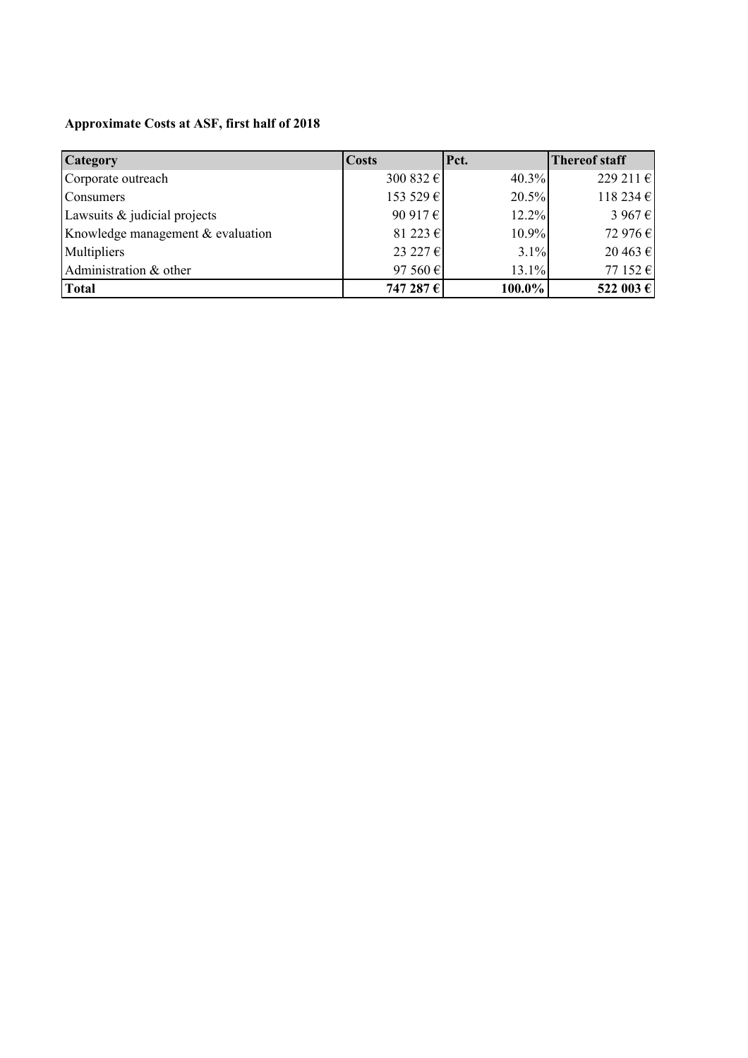## **Approximate Costs at ASF, first half of 2018**

| <b>Category</b>                   | <b>Costs</b>          | Pct.   | <b>Thereof staff</b> |
|-----------------------------------|-----------------------|--------|----------------------|
| Corporate outreach                | 300 832 $\varepsilon$ | 40.3%  | 229 211 €            |
| Consumers                         | 153 529 €             | 20.5%  | 118 234 €            |
| Lawsuits & judicial projects      | 90 917 $\varepsilon$  | 12.2%  | 3 967 €              |
| Knowledge management & evaluation | 81 223 €              | 10.9%  | 72 976 €             |
| Multipliers                       | 23 227 $\varepsilon$  | 3.1%   | 20 463 €             |
| Administration & other            | 97 560 $\varepsilon$  | 13.1%  | 77 152 $\epsilon$    |
| <b>Total</b>                      | 747 287 €             | 100.0% | 522 003 €            |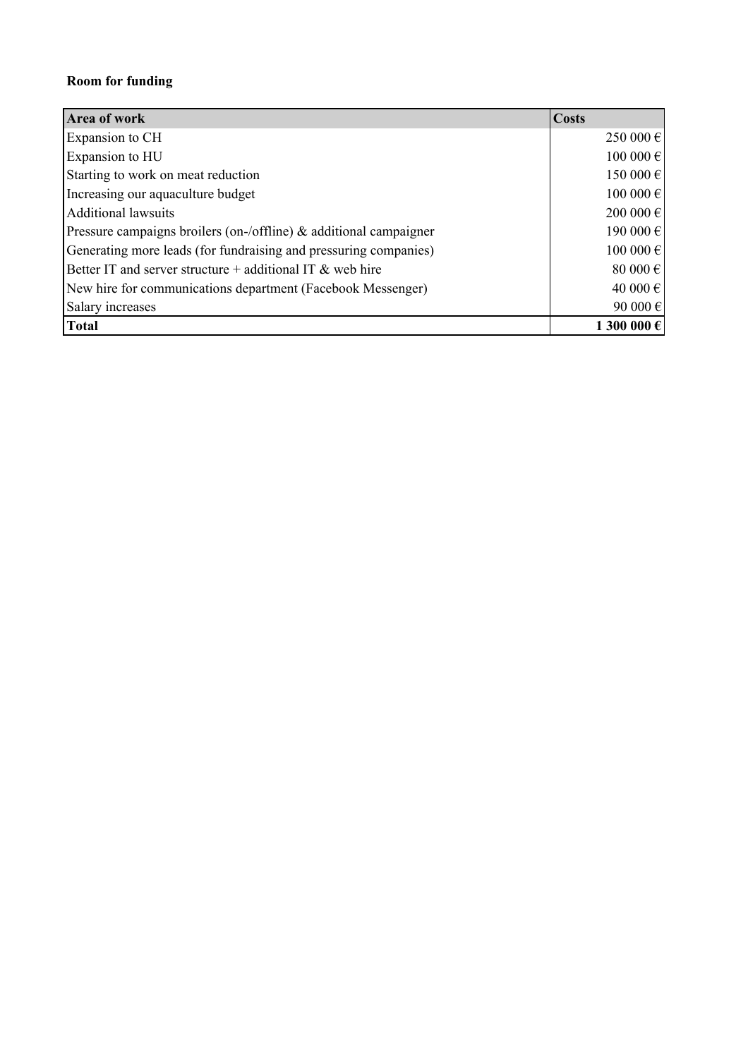### **Room for funding**

| Area of work                                                         | <b>Costs</b> |
|----------------------------------------------------------------------|--------------|
| Expansion to CH                                                      | 250 000 €    |
| Expansion to HU                                                      | 100 000 €    |
| Starting to work on meat reduction                                   | 150 000 €    |
| Increasing our aquaculture budget                                    | 100 000 €    |
| <b>Additional lawsuits</b>                                           | 200 000 €    |
| Pressure campaigns broilers (on-/offline) $\&$ additional campaigner | 190 000 €    |
| Generating more leads (for fundraising and pressuring companies)     | 100 000 €    |
| Better IT and server structure $+$ additional IT & web hire          | 80 000 $\in$ |
| New hire for communications department (Facebook Messenger)          | 40 000 €     |
| Salary increases                                                     | 90 000 €     |
| <b>Total</b>                                                         | 1 300 000 €  |